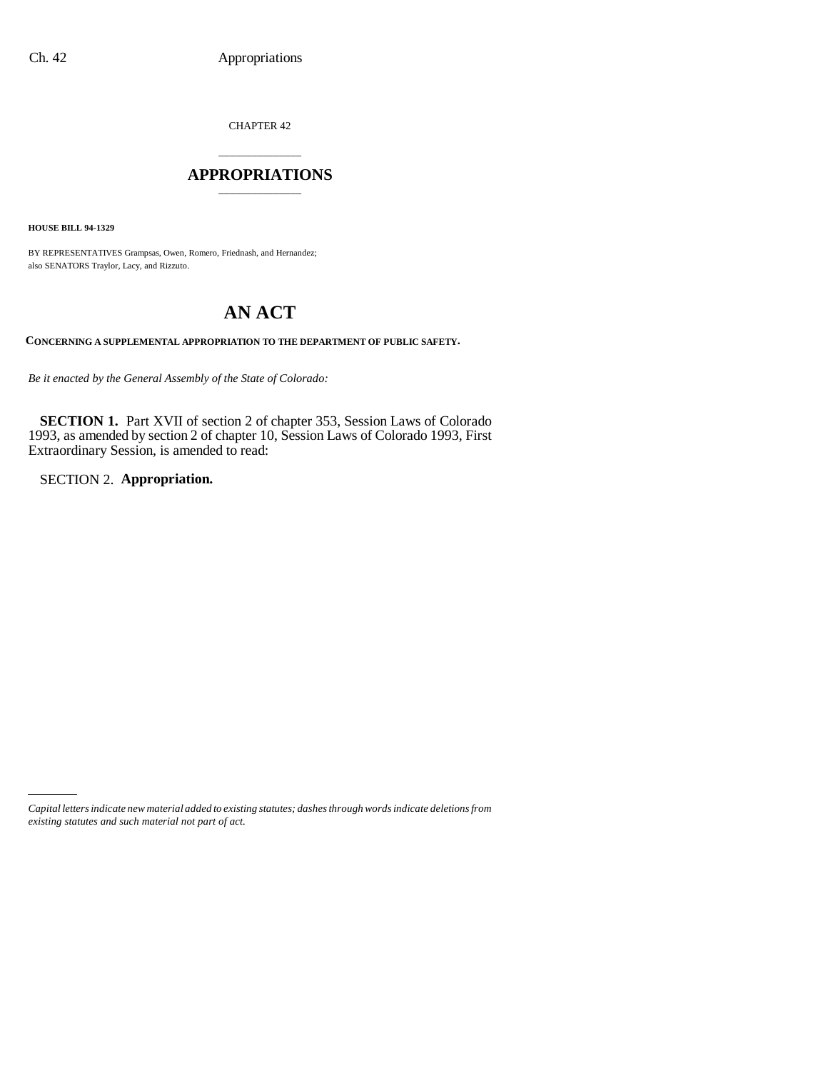CHAPTER 42

### \_\_\_\_\_\_\_\_\_\_\_\_\_\_\_ **APPROPRIATIONS** \_\_\_\_\_\_\_\_\_\_\_\_\_\_\_

**HOUSE BILL 94-1329**

BY REPRESENTATIVES Grampsas, Owen, Romero, Friednash, and Hernandez; also SENATORS Traylor, Lacy, and Rizzuto.

# **AN ACT**

**CONCERNING A SUPPLEMENTAL APPROPRIATION TO THE DEPARTMENT OF PUBLIC SAFETY.**

*Be it enacted by the General Assembly of the State of Colorado:*

**SECTION 1.** Part XVII of section 2 of chapter 353, Session Laws of Colorado 1993, as amended by section 2 of chapter 10, Session Laws of Colorado 1993, First Extraordinary Session, is amended to read:

SECTION 2. **Appropriation.**

*Capital letters indicate new material added to existing statutes; dashes through words indicate deletions from existing statutes and such material not part of act.*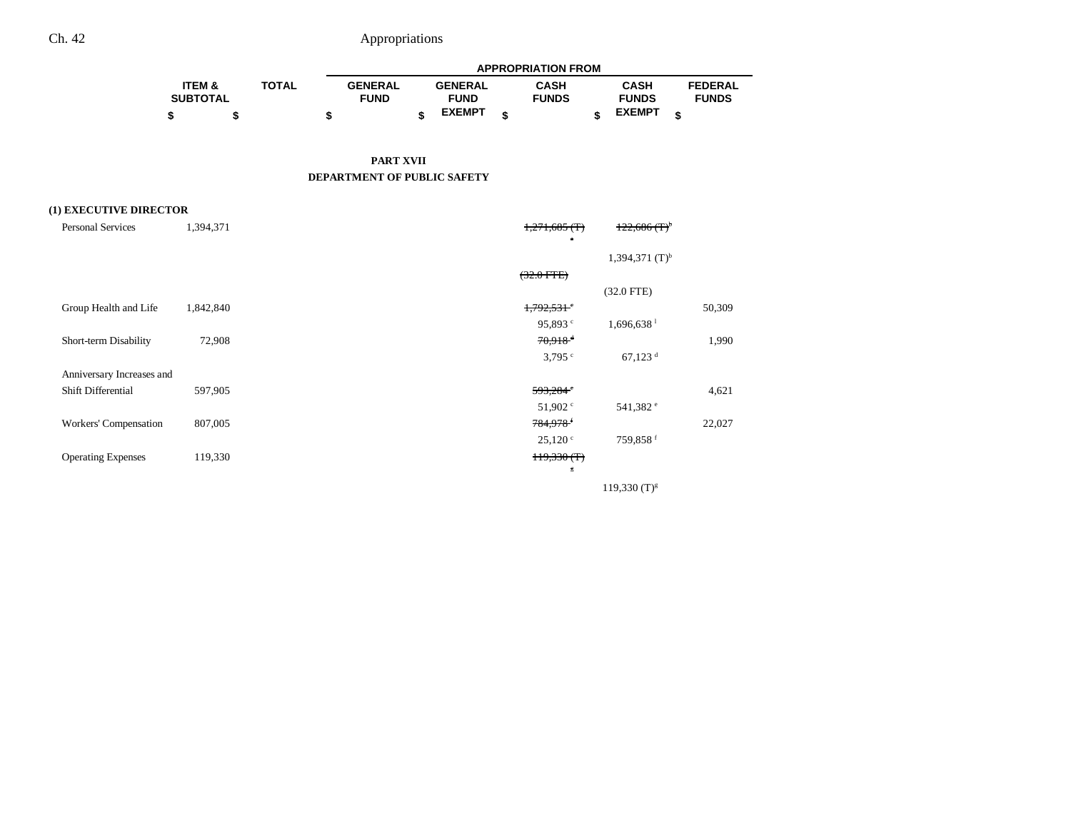|                   |              |                |                | <b>APPROPRIATION FROM</b> |               |                |
|-------------------|--------------|----------------|----------------|---------------------------|---------------|----------------|
| <b>ITEM &amp;</b> | <b>TOTAL</b> | <b>GENERAL</b> | <b>GENERAL</b> | <b>CASH</b>               | CASH          | <b>FEDERAL</b> |
| <b>SUBTOTAL</b>   |              | <b>FUND</b>    | <b>FUND</b>    | <b>FUNDS</b>              | <b>FUNDS</b>  | <b>FUNDS</b>   |
|                   |              |                | <b>EXEMPT</b>  |                           | <b>EXEMPT</b> |                |

#### **PART XVII DEPARTMENT OF PUBLIC SAFETY**

### **(1) EXECUTIVE DIRECTOR**

| <b>Personal Services</b>  | 1,394,371 | 122,686(T)<br>$1,271,685$ (T)                |        |
|---------------------------|-----------|----------------------------------------------|--------|
|                           |           | $\alpha$                                     |        |
|                           |           | 1,394,371 $(T)^{b}$                          |        |
|                           |           | $(32.0$ FTE $)$                              |        |
|                           |           | $(32.0$ FTE)                                 |        |
| Group Health and Life     | 1,842,840 | $1,792,531$ <sup>e</sup>                     | 50,309 |
|                           |           | $1,696,638$ <sup>1</sup><br>95,893 $\degree$ |        |
| Short-term Disability     | 72,908    | $70.918$ <sup>d</sup>                        | 1,990  |
|                           |           | $67,123$ <sup>d</sup><br>$3,795$ $\degree$   |        |
| Anniversary Increases and |           |                                              |        |
| Shift Differential        | 597,905   | 593,284                                      | 4,621  |
|                           |           | 541,382 <sup>e</sup><br>51,902 $\degree$     |        |
| Workers' Compensation     | 807,005   | 784,978                                      | 22,027 |
|                           |           | 759,858 <sup>f</sup><br>25,120°              |        |
| <b>Operating Expenses</b> | 119,330   | 119,330(f)                                   |        |
|                           |           | $\overline{\varepsilon}$                     |        |
|                           |           | $119,330$ (T) <sup>g</sup>                   |        |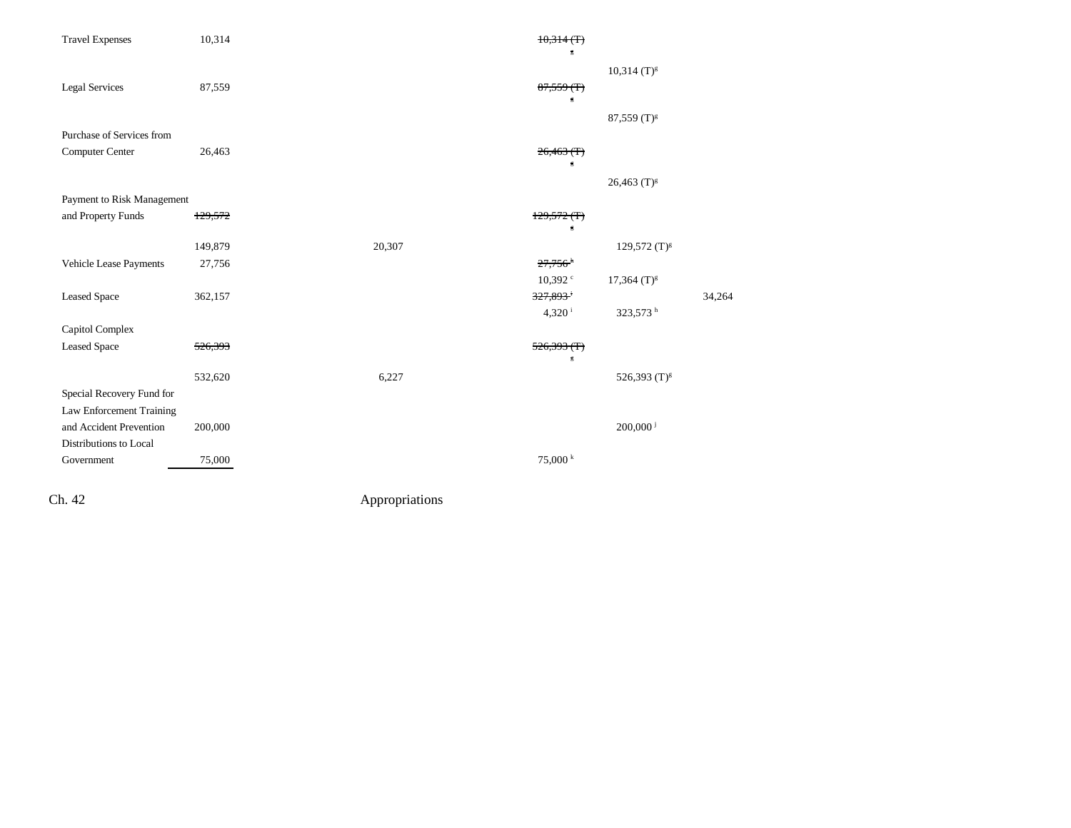| <b>Travel Expenses</b>     | 10,314  |        | 10,314(f)<br>Б                          |                           |        |
|----------------------------|---------|--------|-----------------------------------------|---------------------------|--------|
|                            |         |        |                                         | $10,314$ (T) <sup>g</sup> |        |
| <b>Legal Services</b>      | 87,559  |        | $87,559$ (T)<br>$\overline{\mathbb{S}}$ |                           |        |
| Purchase of Services from  |         |        |                                         | 87,559 $(T)^{g}$          |        |
| Computer Center            | 26,463  |        | 26,463(f)<br>$\mathbf g$                |                           |        |
|                            |         |        |                                         | $26,463$ (T) <sup>g</sup> |        |
| Payment to Risk Management |         |        |                                         |                           |        |
| and Property Funds         | 129,572 |        | 129,572(f)<br>Б                         |                           |        |
|                            | 149,879 | 20,307 |                                         | 129,572 (T) <sup>g</sup>  |        |
| Vehicle Lease Payments     | 27,756  |        | $27,756$ <sup>h</sup>                   |                           |        |
|                            |         |        | $10,392$ <sup>c</sup>                   | $17,364$ (T) <sup>g</sup> |        |
| <b>Leased Space</b>        | 362,157 |        | 327,893 <sup>+</sup>                    |                           | 34,264 |
|                            |         |        | $4,320^{\mathrm{i}}$                    | 323,573 h                 |        |
| Capitol Complex            |         |        |                                         |                           |        |
| <b>Leased Space</b>        | 526,393 |        | 526,393(f)                              |                           |        |
|                            |         |        | $\mathbf g$                             |                           |        |
|                            | 532,620 | 6,227  |                                         | 526,393 (T) <sup>g</sup>  |        |
| Special Recovery Fund for  |         |        |                                         |                           |        |
| Law Enforcement Training   |         |        |                                         |                           |        |
| and Accident Prevention    | 200,000 |        |                                         | $200,000$ <sup>j</sup>    |        |
| Distributions to Local     |         |        |                                         |                           |        |
| Government                 | 75,000  |        | $75,000 \text{ }^k$                     |                           |        |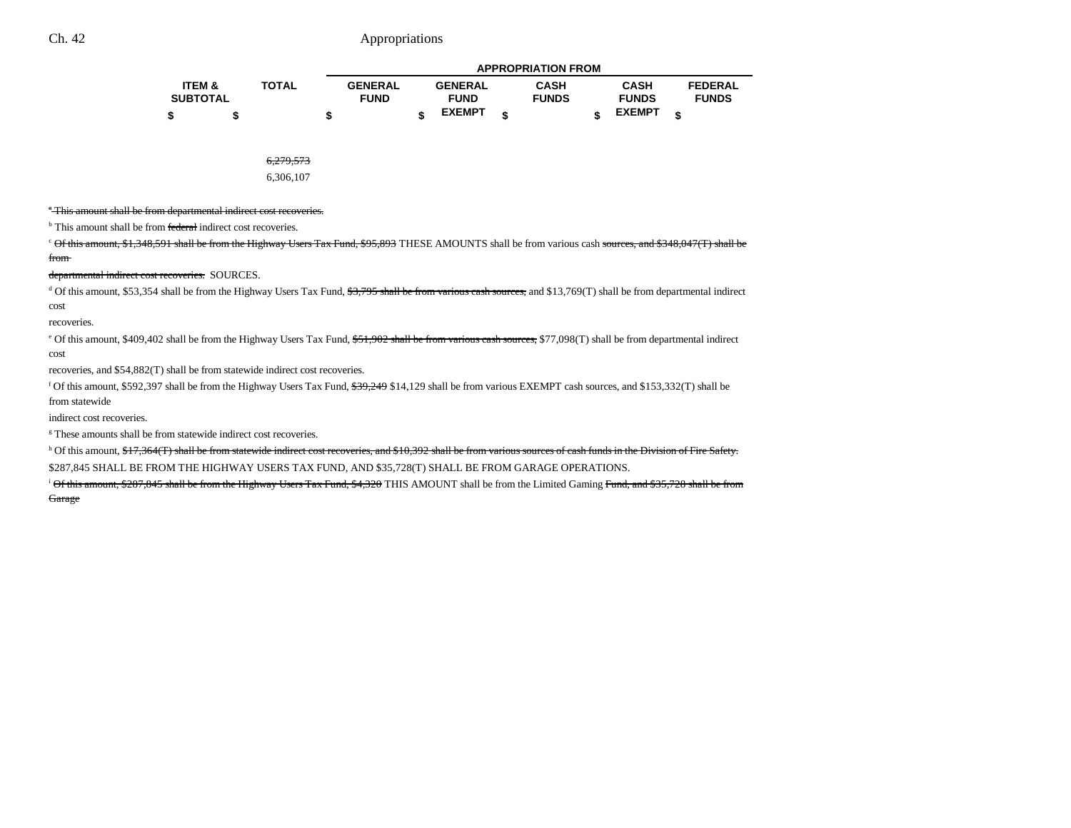|                   |              |                |                | <b>APPROPRIATION FROM</b> |               |   |                |
|-------------------|--------------|----------------|----------------|---------------------------|---------------|---|----------------|
| <b>ITEM &amp;</b> | <b>TOTAL</b> | <b>GENERAL</b> | <b>GENERAL</b> | <b>CASH</b>               | <b>CASH</b>   |   | <b>FEDERAL</b> |
| <b>SUBTOTAL</b>   |              | <b>FUND</b>    | <b>FUND</b>    | <b>FUNDS</b>              | <b>FUNDS</b>  |   | <b>FUNDS</b>   |
| \$                |              |                | <b>EXEMPT</b>  |                           | <b>EXEMPT</b> | ¢ |                |

6,279,573

6,306,107

<sup>\*</sup>This amount shall be from departmental indirect cost recoveries.

<sup>b</sup> This amount shall be from federal indirect cost recoveries.

<sup>c</sup> Of this amount, \$1,348,591 shall be from the Highway Users Tax Fund, \$95,893 THESE AMOUNTS shall be from various cash sources, and \$348,047(T) shall be from

departmental indirect cost recoveries. SOURCES.

 $d$  Of this amount, \$53,354 shall be from the Highway Users Tax Fund,  $\frac{43,795 \text{ shall be from various cash sources, and } $13,769(T) \text{ shall be from departmental indirect}}{1000 \text{ ft}}$ cost

recoveries.

<sup>e</sup> Of this amount, \$409,402 shall be from the Highway Users Tax Fund, \$51,902 shall be from various cash sources, \$77,098(T) shall be from departmental indirect cost

recoveries, and \$54,882(T) shall be from statewide indirect cost recoveries.

<sup>f</sup> Of this amount, \$592,397 shall be from the Highway Users Tax Fund,  $$39,249$  \$14,129 shall be from various EXEMPT cash sources, and \$153,332(T) shall be from statewide

indirect cost recoveries.

<sup>g</sup> These amounts shall be from statewide indirect cost recoveries.

h Of this amount, \$17,364(T) shall be from statewide indirect cost recoveries, and \$10,392 shall be from various sources of cash funds in the Division of Fire Safety.

\$287,845 SHALL BE FROM THE HIGHWAY USERS TAX FUND, AND \$35,728(T) SHALL BE FROM GARAGE OPERATIONS.

<sup>i</sup> Of this amount, \$287,845 shall be from the Highway Users Tax Fund, \$4,320 THIS AMOUNT shall be from the Limited Gaming Fund, and \$35,728 shall be from Garage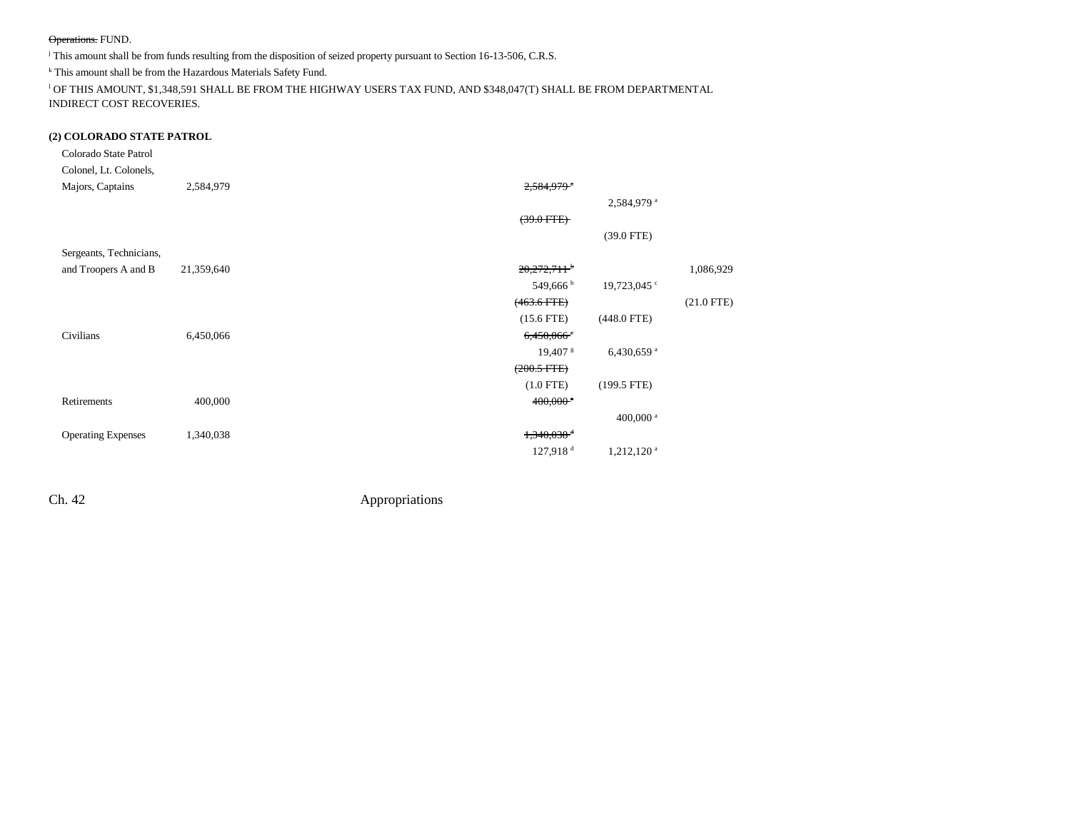#### Operations. FUND.

j This amount shall be from funds resulting from the disposition of seized property pursuant to Section 16-13-506, C.R.S.

k This amount shall be from the Hazardous Materials Safety Fund.

 $^{\rm l}$  OF THIS AMOUNT, \$1,348,591 SHALL BE FROM THE HIGHWAY USERS TAX FUND, AND \$348,047(T) SHALL BE FROM DEPARTMENTAL INDIRECT COST RECOVERIES.

### **(2) COLORADO STATE PATROL**

| Colorado State Patrol<br>Colonel, Lt. Colonels, |            |                                                    |              |
|-------------------------------------------------|------------|----------------------------------------------------|--------------|
| Majors, Captains                                | 2,584,979  | $2,584,979$ <sup>a</sup>                           |              |
|                                                 |            | 2,584,979 <sup>a</sup>                             |              |
|                                                 |            | $(39.0$ FTE $)$                                    |              |
|                                                 |            | $(39.0$ FTE)                                       |              |
| Sergeants, Technicians,                         |            |                                                    |              |
| and Troopers A and B                            | 21,359,640 | $20,272,711$ <sup>+</sup>                          | 1,086,929    |
|                                                 |            | $549,666^{\mathrm{b}}$<br>19,723,045 <sup>c</sup>  |              |
|                                                 |            | $(463.6$ FTE)                                      | $(21.0$ FTE) |
|                                                 |            | $(448.0$ FTE)<br>$(15.6$ FTE)                      |              |
| Civilians                                       | 6,450,066  | 6,450,066                                          |              |
|                                                 |            | $19,407$ s<br>6,430,659 $a$                        |              |
|                                                 |            | $(200.5$ FTE $)$                                   |              |
|                                                 |            | $(1.0$ FTE)<br>$(199.5$ FTE)                       |              |
| Retirements                                     | 400,000    | $400,000$ <sup>a</sup>                             |              |
|                                                 |            | 400,000 <sup>a</sup>                               |              |
| <b>Operating Expenses</b>                       | 1,340,038  | $1,340,038$ <sup>d</sup>                           |              |
|                                                 |            | $127,918$ <sup>d</sup><br>$1,212,120$ <sup>a</sup> |              |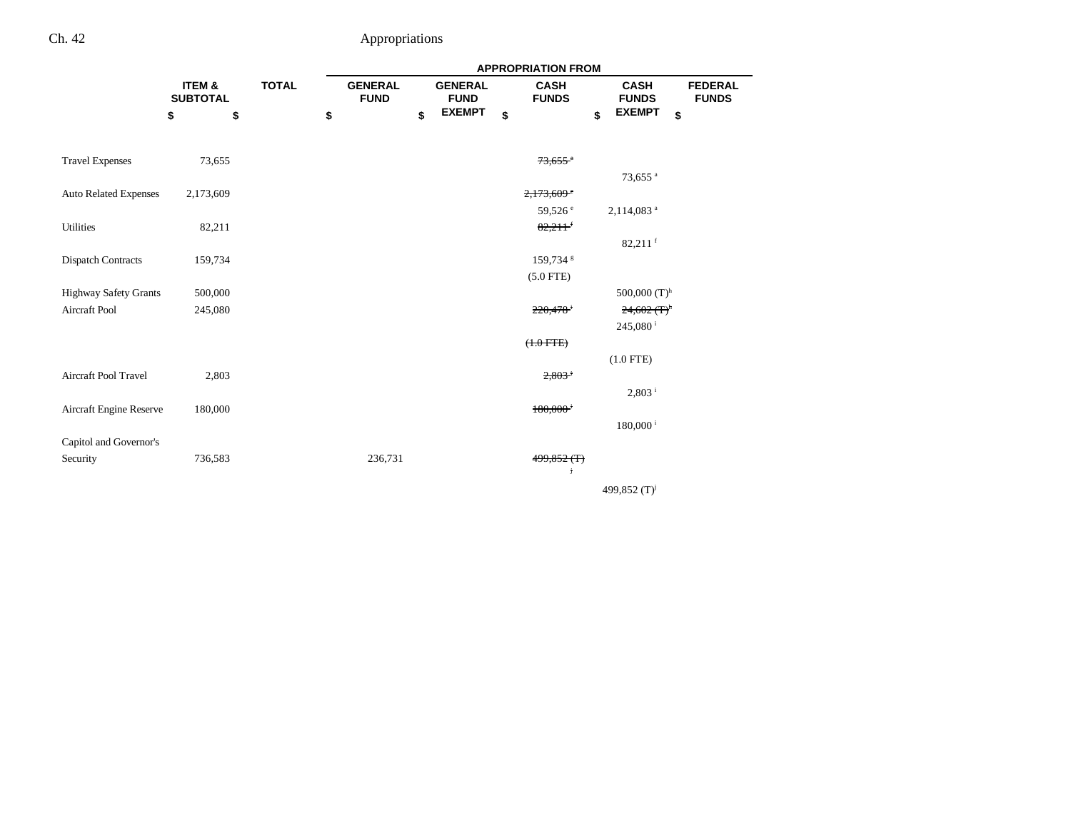|                              |                                      |              | <b>APPROPRIATION FROM</b>     |    |                               |    |                             |    |                             |                                |  |  |
|------------------------------|--------------------------------------|--------------|-------------------------------|----|-------------------------------|----|-----------------------------|----|-----------------------------|--------------------------------|--|--|
|                              | <b>ITEM &amp;</b><br><b>SUBTOTAL</b> | <b>TOTAL</b> | <b>GENERAL</b><br><b>FUND</b> |    | <b>GENERAL</b><br><b>FUND</b> |    | <b>CASH</b><br><b>FUNDS</b> |    | <b>CASH</b><br><b>FUNDS</b> | <b>FEDERAL</b><br><b>FUNDS</b> |  |  |
|                              | \$<br>\$                             | \$           |                               | \$ | <b>EXEMPT</b>                 | \$ |                             | \$ | <b>EXEMPT</b>               | \$                             |  |  |
|                              |                                      |              |                               |    |                               |    |                             |    |                             |                                |  |  |
| <b>Travel Expenses</b>       | 73,655                               |              |                               |    |                               |    | $73,655$ <sup>*</sup>       |    |                             |                                |  |  |
|                              |                                      |              |                               |    |                               |    |                             |    | 73,655 <sup>a</sup>         |                                |  |  |
| <b>Auto Related Expenses</b> | 2,173,609                            |              |                               |    |                               |    | $2,173,609$ <sup>e</sup>    |    |                             |                                |  |  |
|                              |                                      |              |                               |    |                               |    | 59,526 <sup>e</sup>         |    | 2,114,083 <sup>a</sup>      |                                |  |  |
| Utilities                    | 82,211                               |              |                               |    |                               |    | 82,211                      |    |                             |                                |  |  |
|                              |                                      |              |                               |    |                               |    |                             |    | $82,211$ f                  |                                |  |  |
| <b>Dispatch Contracts</b>    | 159,734                              |              |                               |    |                               |    | 159,734 \$                  |    |                             |                                |  |  |
|                              |                                      |              |                               |    |                               |    | $(5.0$ FTE)                 |    |                             |                                |  |  |
| <b>Highway Safety Grants</b> | 500,000                              |              |                               |    |                               |    |                             |    | 500,000 $(T)^h$             |                                |  |  |
| Aircraft Pool                | 245,080                              |              |                               |    |                               |    | 220,478                     |    | $24,602$ (T) <sup>h</sup>   |                                |  |  |
|                              |                                      |              |                               |    |                               |    |                             |    | 245,080 <sup>i</sup>        |                                |  |  |
|                              |                                      |              |                               |    |                               |    | $(1.0$ FTE $)$              |    |                             |                                |  |  |
|                              |                                      |              |                               |    |                               |    |                             |    | $(1.0$ FTE)                 |                                |  |  |
| Aircraft Pool Travel         | 2,803                                |              |                               |    |                               |    | $2,803$ <sup>i</sup>        |    |                             |                                |  |  |
|                              |                                      |              |                               |    |                               |    |                             |    | $2,803$ <sup>i</sup>        |                                |  |  |
| Aircraft Engine Reserve      | 180,000                              |              |                               |    |                               |    | $180,000$ <sup>i</sup>      |    |                             |                                |  |  |
|                              |                                      |              |                               |    |                               |    |                             |    | $180,000$ <sup>i</sup>      |                                |  |  |
| Capitol and Governor's       |                                      |              |                               |    |                               |    |                             |    |                             |                                |  |  |
| Security                     | 736,583                              |              | 236,731                       |    |                               |    | 499,852 (T)<br>Ť            |    |                             |                                |  |  |
|                              |                                      |              |                               |    |                               |    |                             |    | 499,852 (T) <sup>j</sup>    |                                |  |  |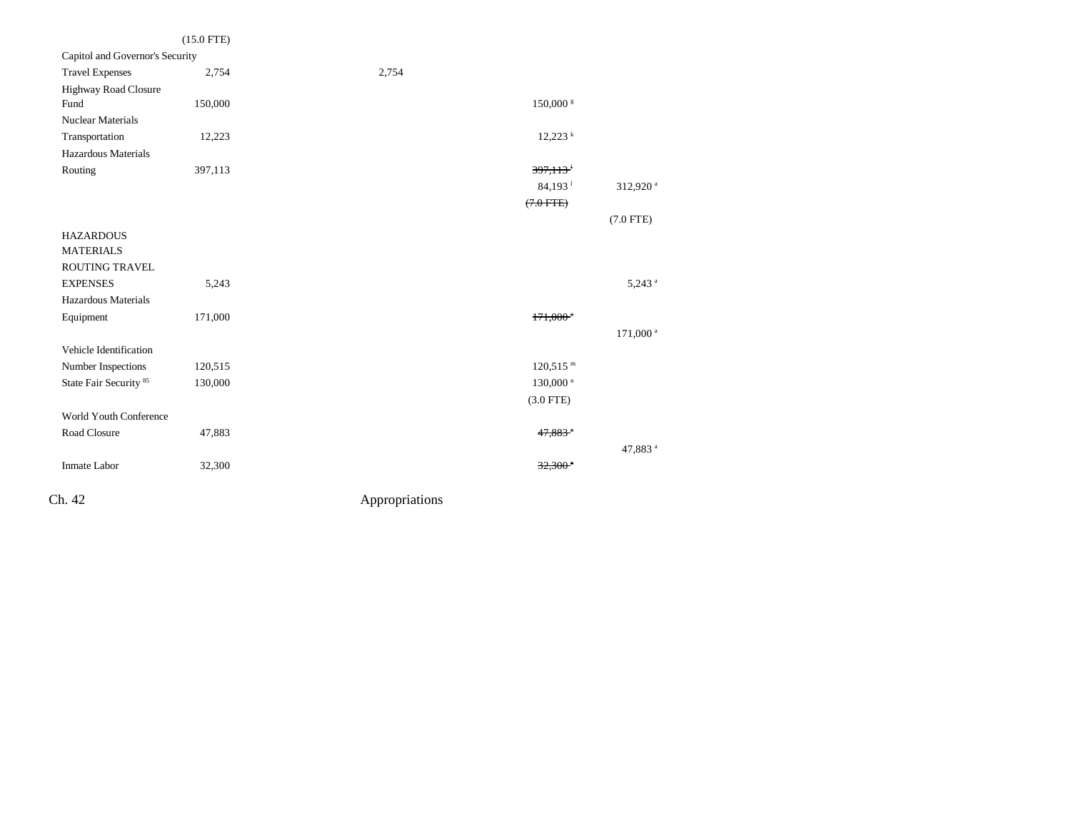|                                   | $(15.0$ FTE) |                        |                      |
|-----------------------------------|--------------|------------------------|----------------------|
| Capitol and Governor's Security   |              |                        |                      |
| <b>Travel Expenses</b>            | 2,754        | 2,754                  |                      |
| <b>Highway Road Closure</b>       |              |                        |                      |
| Fund                              | 150,000      | 150,000 s              |                      |
| Nuclear Materials                 |              |                        |                      |
| Transportation                    | 12,223       | $12,223$ <sup>k</sup>  |                      |
| Hazardous Materials               |              |                        |                      |
| Routing                           | 397,113      | 397,113                |                      |
|                                   |              | $84,193$ <sup>1</sup>  | 312,920 <sup>a</sup> |
|                                   |              | $(7.0$ FTE $)$         |                      |
|                                   |              |                        | $(7.0$ FTE)          |
| <b>HAZARDOUS</b>                  |              |                        |                      |
| <b>MATERIALS</b>                  |              |                        |                      |
| ROUTING TRAVEL                    |              |                        |                      |
| <b>EXPENSES</b>                   | 5,243        |                        | $5,243$ <sup>a</sup> |
| Hazardous Materials               |              |                        |                      |
| Equipment                         | 171,000      | $171.000$ <sup>*</sup> |                      |
|                                   |              |                        | 171,000 <sup>a</sup> |
| Vehicle Identification            |              |                        |                      |
| Number Inspections                | 120,515      | $120,515$ <sup>m</sup> |                      |
| State Fair Security <sup>85</sup> | 130,000      | $130,000$ <sup>n</sup> |                      |
|                                   |              | $(3.0$ FTE)            |                      |
| <b>World Youth Conference</b>     |              |                        |                      |
| Road Closure                      | 47,883       | $47,883$ <sup>a</sup>  |                      |
|                                   |              |                        | 47,883 <sup>a</sup>  |
| Inmate Labor                      | 32,300       | $32,300$ <sup>a</sup>  |                      |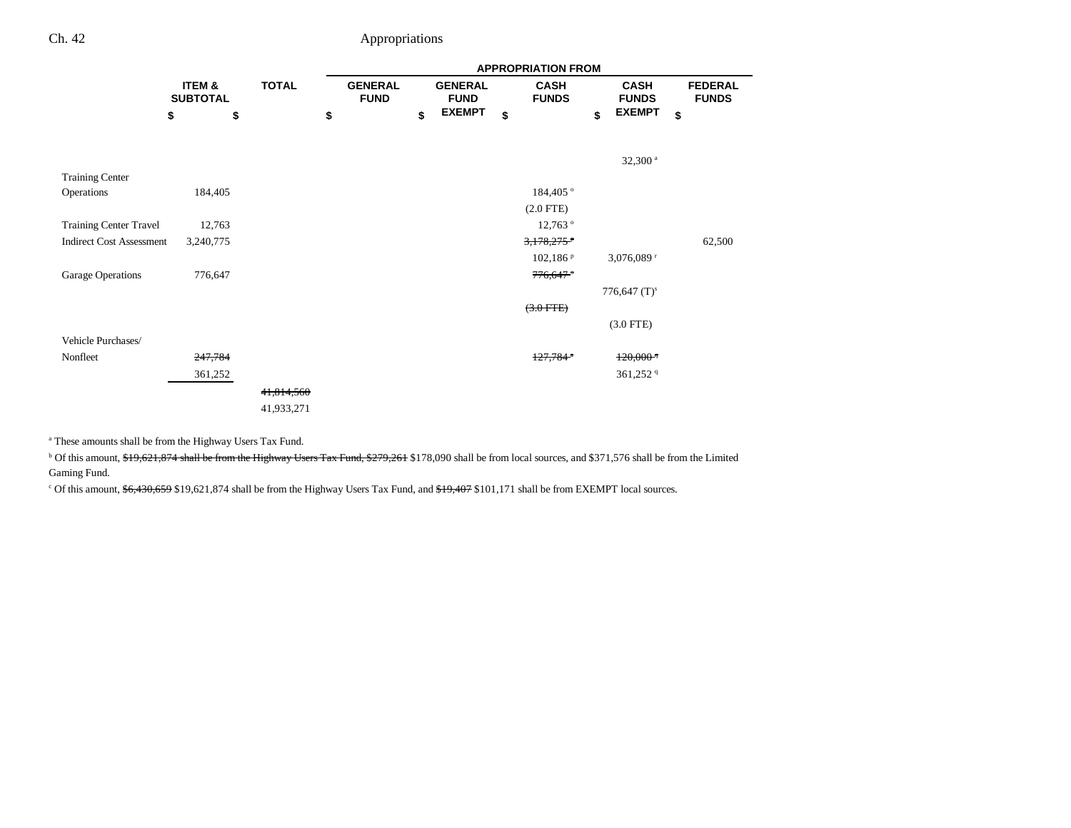|                                 |                           |              |    | <b>APPROPRIATION FROM</b>     |    |                               |    |                             |    |                             |    |                                |  |  |
|---------------------------------|---------------------------|--------------|----|-------------------------------|----|-------------------------------|----|-----------------------------|----|-----------------------------|----|--------------------------------|--|--|
|                                 | ITEM &<br><b>SUBTOTAL</b> | <b>TOTAL</b> |    | <b>GENERAL</b><br><b>FUND</b> |    | <b>GENERAL</b><br><b>FUND</b> |    | <b>CASH</b><br><b>FUNDS</b> |    | <b>CASH</b><br><b>FUNDS</b> |    | <b>FEDERAL</b><br><b>FUNDS</b> |  |  |
|                                 | \$                        | \$           | \$ |                               | \$ | <b>EXEMPT</b>                 | \$ |                             | \$ | <b>EXEMPT</b>               | \$ |                                |  |  |
|                                 |                           |              |    |                               |    |                               |    |                             |    | $32,300$ <sup>a</sup>       |    |                                |  |  |
| <b>Training Center</b>          |                           |              |    |                               |    |                               |    |                             |    |                             |    |                                |  |  |
| Operations                      | 184,405                   |              |    |                               |    |                               |    | 184,405 °                   |    |                             |    |                                |  |  |
|                                 |                           |              |    |                               |    |                               |    | $(2.0$ FTE)                 |    |                             |    |                                |  |  |
| <b>Training Center Travel</b>   | 12,763                    |              |    |                               |    |                               |    | 12,763 <sup>°</sup>         |    |                             |    |                                |  |  |
| <b>Indirect Cost Assessment</b> | 3,240,775                 |              |    |                               |    |                               |    | $3,178,275$ <sup>P</sup>    |    |                             |    | 62,500                         |  |  |
|                                 |                           |              |    |                               |    |                               |    | $102,186$ <sup>p</sup>      |    | 3,076,089 $r$               |    |                                |  |  |
| Garage Operations               | 776,647                   |              |    |                               |    |                               |    | 776,647                     |    |                             |    |                                |  |  |
|                                 |                           |              |    |                               |    |                               |    |                             |    | 776,647 $(T)^s$             |    |                                |  |  |
|                                 |                           |              |    |                               |    |                               |    | $(3.0$ FTE)                 |    |                             |    |                                |  |  |
|                                 |                           |              |    |                               |    |                               |    |                             |    | $(3.0$ FTE)                 |    |                                |  |  |
| Vehicle Purchases/              |                           |              |    |                               |    |                               |    |                             |    |                             |    |                                |  |  |
| Nonfleet                        | 247,784                   |              |    |                               |    |                               |    | $127,784$ <sup>a</sup>      |    | $120,000$ <sup>q</sup>      |    |                                |  |  |
|                                 | 361,252                   |              |    |                               |    |                               |    |                             |    | 361,252 <sup>9</sup>        |    |                                |  |  |
|                                 |                           | 41,814,560   |    |                               |    |                               |    |                             |    |                             |    |                                |  |  |
|                                 |                           | 41,933,271   |    |                               |    |                               |    |                             |    |                             |    |                                |  |  |

a These amounts shall be from the Highway Users Tax Fund.

<sup>b</sup> Of this amount, \$19,621,874 shall be from the Highway Users Tax Fund, \$279,261 \$178,090 shall be from local sources, and \$371,576 shall be from the Limited Gaming Fund.

<sup>c</sup> Of this amount,  $6,430,659$  \$19,621,874 shall be from the Highway Users Tax Fund, and  $49,407$  \$101,171 shall be from EXEMPT local sources.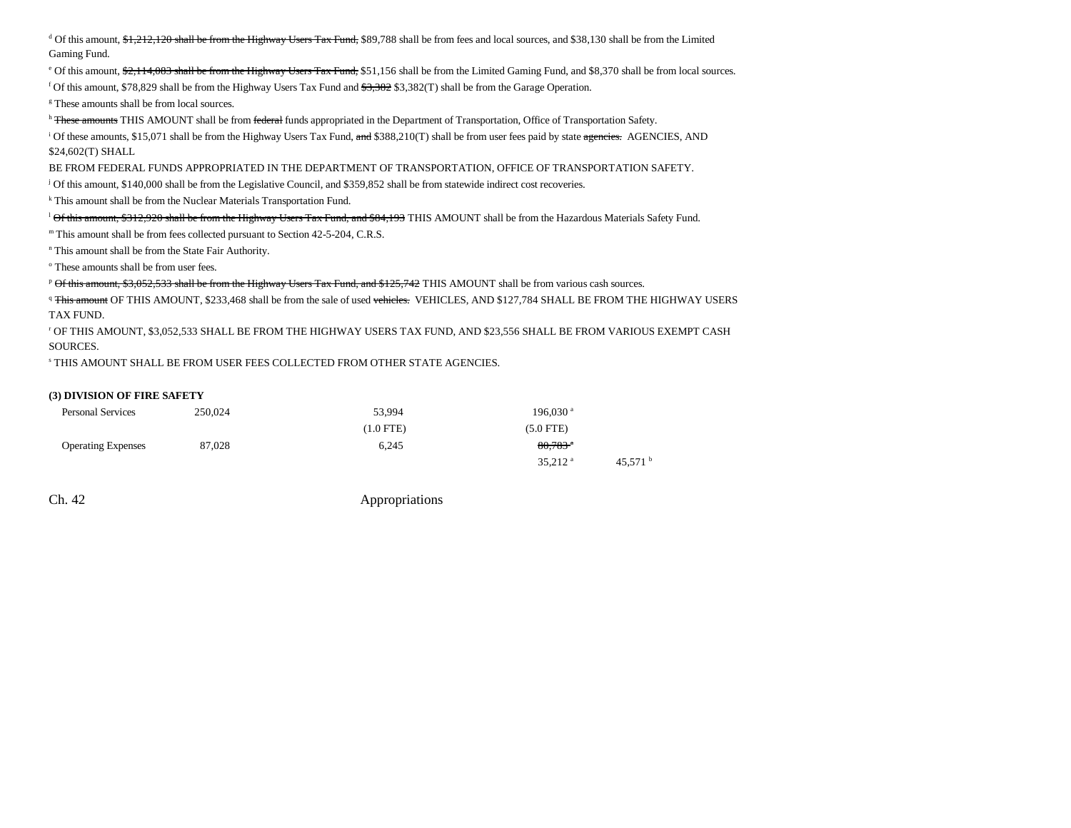<sup>d</sup> Of this amount, \$1,212,120 shall be from the Highway Users Tax Fund, \$89,788 shall be from fees and local sources, and \$38,130 shall be from the Limited Gaming Fund.

 $^{\circ}$  Of this amount,  $\frac{42.114,083}{}$  shall be from the Highway Users Tax Fund, \$51,156 shall be from the Limited Gaming Fund, and \$8,370 shall be from local sources.

f Of this amount, \$78,829 shall be from the Highway Users Tax Fund and  $\frac{43,382}{3,382(1)}$  shall be from the Garage Operation.

g These amounts shall be from local sources.

h These amounts THIS AMOUNT shall be from federal funds appropriated in the Department of Transportation, Office of Transportation Safety.

<sup>i</sup> Of these amounts, \$15,071 shall be from the Highway Users Tax Fund,  $\frac{1}{2}$  and \$388,210(T) shall be from user fees paid by state agencies. AGENCIES, AND \$24,602(T) SHALL

BE FROM FEDERAL FUNDS APPROPRIATED IN THE DEPARTMENT OF TRANSPORTATION, OFFICE OF TRANSPORTATION SAFETY.

j Of this amount, \$140,000 shall be from the Legislative Council, and \$359,852 shall be from statewide indirect cost recoveries.

k This amount shall be from the Nuclear Materials Transportation Fund.

 $\rm^1$ Of this amount, \$312,920 shall be from the Highway Users Tax Fund, and \$84,193 THIS AMOUNT shall be from the Hazardous Materials Safety Fund.

m This amount shall be from fees collected pursuant to Section 42-5-204, C.R.S.

n This amount shall be from the State Fair Authority.

o These amounts shall be from user fees.

<sup>p</sup> Of this amount, \$3,052,533 shall be from the Highway Users Tax Fund, and \$125,742 THIS AMOUNT shall be from various cash sources.

<sup>q</sup> This amount OF THIS AMOUNT, \$233,468 shall be from the sale of used vehicles. VEHICLES, AND \$127,784 SHALL BE FROM THE HIGHWAY USERS TAX FUND.

r OF THIS AMOUNT, \$3,052,533 SHALL BE FROM THE HIGHWAY USERS TAX FUND, AND \$23,556 SHALL BE FROM VARIOUS EXEMPT CASH SOURCES.

s THIS AMOUNT SHALL BE FROM USER FEES COLLECTED FROM OTHER STATE AGENCIES.

#### **(3) DIVISION OF FIRE SAFETY**

| <b>Personal Services</b>  | 250,024 | 53.994      | $196.030$ <sup>a</sup> |                   |
|---------------------------|---------|-------------|------------------------|-------------------|
|                           |         | $(1.0$ FTE) | $(5.0$ FTE)            |                   |
| <b>Operating Expenses</b> | 87,028  | 6.245       | $80.783$ <sup>a</sup>  |                   |
|                           |         |             | $35,212$ <sup>a</sup>  | 45.571 $^{\circ}$ |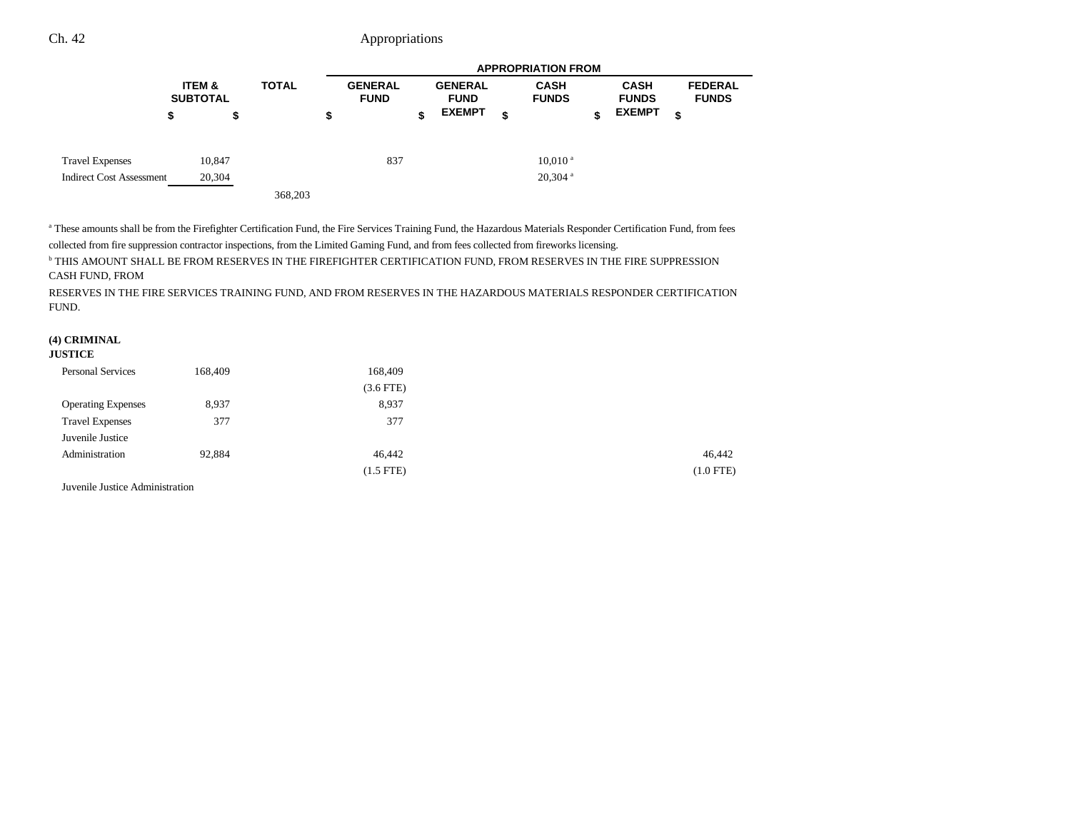|                                 |                                      |              |                               |                               | <b>APPROPRIATION FROM</b>   |   |                             |                                |
|---------------------------------|--------------------------------------|--------------|-------------------------------|-------------------------------|-----------------------------|---|-----------------------------|--------------------------------|
|                                 | <b>ITEM &amp;</b><br><b>SUBTOTAL</b> | <b>TOTAL</b> | <b>GENERAL</b><br><b>FUND</b> | <b>GENERAL</b><br><b>FUND</b> | <b>CASH</b><br><b>FUNDS</b> |   | <b>CASH</b><br><b>FUNDS</b> | <b>FEDERAL</b><br><b>FUNDS</b> |
|                                 | \$<br>\$                             |              | \$                            | \$<br><b>EXEMPT</b>           | \$                          | S | <b>EXEMPT</b>               | \$                             |
| <b>Travel Expenses</b>          | 10,847                               |              | 837                           |                               | $10.010$ <sup>a</sup>       |   |                             |                                |
| <b>Indirect Cost Assessment</b> | 20,304                               |              |                               |                               | $20,304$ <sup>a</sup>       |   |                             |                                |
|                                 |                                      | 368,203      |                               |                               |                             |   |                             |                                |

<sup>a</sup> These amounts shall be from the Firefighter Certification Fund, the Fire Services Training Fund, the Hazardous Materials Responder Certification Fund, from fees collected from fire suppression contractor inspections, from the Limited Gaming Fund, and from fees collected from fireworks licensing.

b THIS AMOUNT SHALL BE FROM RESERVES IN THE FIREFIGHTER CERTIFICATION FUND, FROM RESERVES IN THE FIRE SUPPRESSION CASH FUND, FROM

RESERVES IN THE FIRE SERVICES TRAINING FUND, AND FROM RESERVES IN THE HAZARDOUS MATERIALS RESPONDER CERTIFICATION FUND.

### **(4) CRIMINAL**

#### **JUSTICE**

| <b>Personal Services</b>  | 168,409 | 168,409     |             |
|---------------------------|---------|-------------|-------------|
|                           |         | $(3.6$ FTE) |             |
| <b>Operating Expenses</b> | 8,937   | 8,937       |             |
| <b>Travel Expenses</b>    | 377     | 377         |             |
| Juvenile Justice          |         |             |             |
| Administration            | 92,884  | 46,442      | 46,442      |
|                           |         | $(1.5$ FTE) | $(1.0$ FTE) |

Juvenile Justice Administration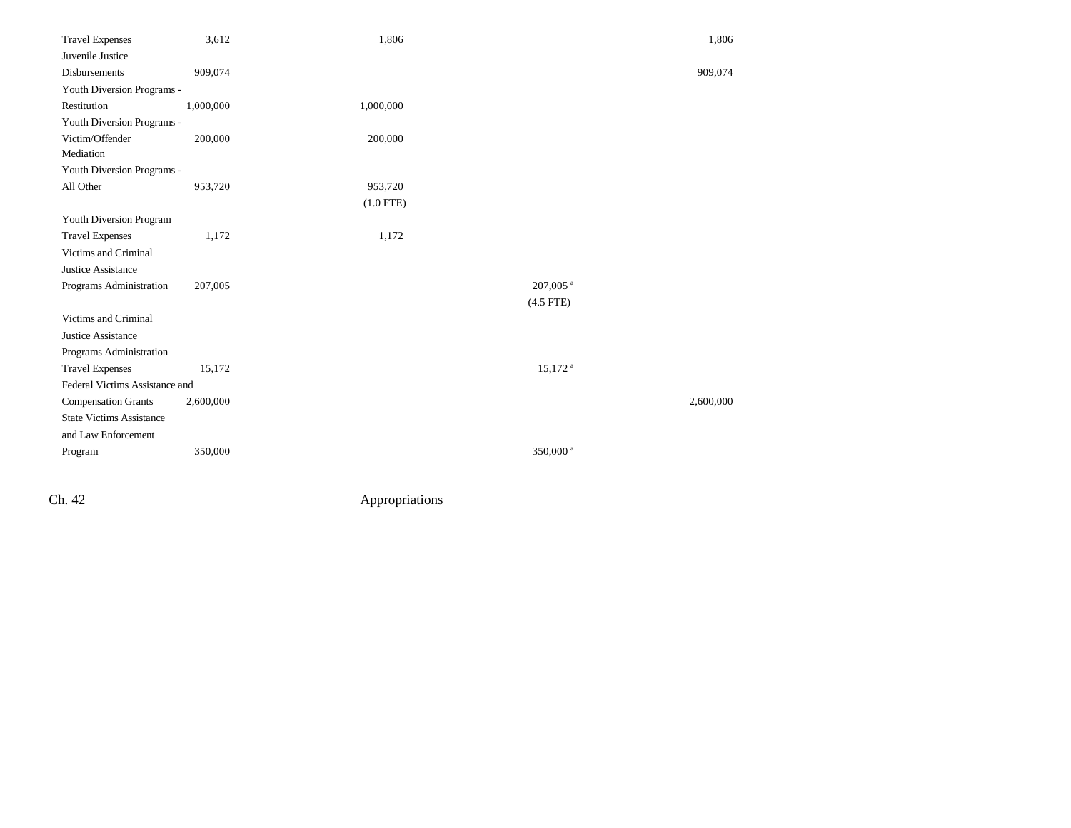| <b>Travel Expenses</b>          | 3,612     | 1,806       |                       | 1,806     |
|---------------------------------|-----------|-------------|-----------------------|-----------|
| Juvenile Justice                |           |             |                       |           |
| <b>Disbursements</b>            | 909,074   |             |                       | 909,074   |
| Youth Diversion Programs -      |           |             |                       |           |
| Restitution                     | 1,000,000 | 1,000,000   |                       |           |
| Youth Diversion Programs -      |           |             |                       |           |
| Victim/Offender                 | 200,000   | 200,000     |                       |           |
| Mediation                       |           |             |                       |           |
| Youth Diversion Programs -      |           |             |                       |           |
| All Other                       | 953,720   | 953,720     |                       |           |
|                                 |           | $(1.0$ FTE) |                       |           |
| Youth Diversion Program         |           |             |                       |           |
| <b>Travel Expenses</b>          | 1,172     | 1,172       |                       |           |
| Victims and Criminal            |           |             |                       |           |
| Justice Assistance              |           |             |                       |           |
| Programs Administration         | 207,005   |             | 207,005 <sup>a</sup>  |           |
|                                 |           |             | $(4.5$ FTE)           |           |
| Victims and Criminal            |           |             |                       |           |
| Justice Assistance              |           |             |                       |           |
| Programs Administration         |           |             |                       |           |
| <b>Travel Expenses</b>          | 15,172    |             | $15,172$ <sup>a</sup> |           |
| Federal Victims Assistance and  |           |             |                       |           |
| <b>Compensation Grants</b>      | 2,600,000 |             |                       | 2,600,000 |
| <b>State Victims Assistance</b> |           |             |                       |           |
| and Law Enforcement             |           |             |                       |           |
| Program                         | 350,000   |             | 350,000 <sup>a</sup>  |           |
|                                 |           |             |                       |           |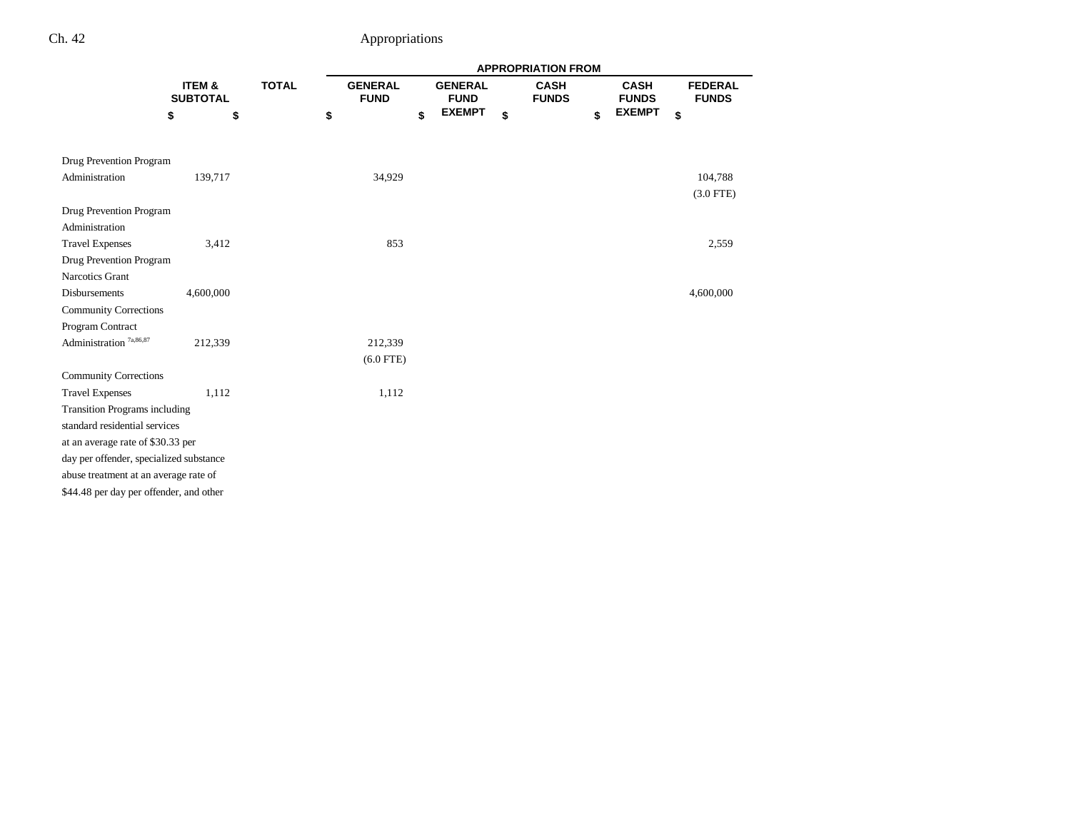|                                         |                                         |    |              |    | <b>APPROPRIATION FROM</b>     |    |                               |    |                             |    |                             |    |                                |
|-----------------------------------------|-----------------------------------------|----|--------------|----|-------------------------------|----|-------------------------------|----|-----------------------------|----|-----------------------------|----|--------------------------------|
|                                         | <b>ITEM &amp;</b><br><b>SUBTOTAL</b>    |    | <b>TOTAL</b> |    | <b>GENERAL</b><br><b>FUND</b> |    | <b>GENERAL</b><br><b>FUND</b> |    | <b>CASH</b><br><b>FUNDS</b> |    | <b>CASH</b><br><b>FUNDS</b> |    | <b>FEDERAL</b><br><b>FUNDS</b> |
|                                         | \$                                      | \$ |              | \$ |                               | \$ | <b>EXEMPT</b>                 | \$ |                             | \$ | <b>EXEMPT</b>               | \$ |                                |
|                                         |                                         |    |              |    |                               |    |                               |    |                             |    |                             |    |                                |
| Drug Prevention Program                 |                                         |    |              |    |                               |    |                               |    |                             |    |                             |    |                                |
| Administration                          | 139,717                                 |    |              |    | 34,929                        |    |                               |    |                             |    |                             |    | 104,788                        |
|                                         |                                         |    |              |    |                               |    |                               |    |                             |    |                             |    | $(3.0$ FTE)                    |
| Drug Prevention Program                 |                                         |    |              |    |                               |    |                               |    |                             |    |                             |    |                                |
| Administration                          |                                         |    |              |    |                               |    |                               |    |                             |    |                             |    |                                |
| <b>Travel Expenses</b>                  | 3,412                                   |    |              |    | 853                           |    |                               |    |                             |    |                             |    | 2,559                          |
| Drug Prevention Program                 |                                         |    |              |    |                               |    |                               |    |                             |    |                             |    |                                |
| Narcotics Grant                         |                                         |    |              |    |                               |    |                               |    |                             |    |                             |    |                                |
| <b>Disbursements</b>                    | 4,600,000                               |    |              |    |                               |    |                               |    |                             |    |                             |    | 4,600,000                      |
| <b>Community Corrections</b>            |                                         |    |              |    |                               |    |                               |    |                             |    |                             |    |                                |
| Program Contract                        |                                         |    |              |    |                               |    |                               |    |                             |    |                             |    |                                |
| Administration <sup>7a,86,87</sup>      | 212,339                                 |    |              |    | 212,339                       |    |                               |    |                             |    |                             |    |                                |
|                                         |                                         |    |              |    | $(6.0$ FTE)                   |    |                               |    |                             |    |                             |    |                                |
| <b>Community Corrections</b>            |                                         |    |              |    |                               |    |                               |    |                             |    |                             |    |                                |
| <b>Travel Expenses</b>                  | 1,112                                   |    |              |    | 1,112                         |    |                               |    |                             |    |                             |    |                                |
| <b>Transition Programs including</b>    |                                         |    |              |    |                               |    |                               |    |                             |    |                             |    |                                |
| standard residential services           |                                         |    |              |    |                               |    |                               |    |                             |    |                             |    |                                |
| at an average rate of \$30.33 per       |                                         |    |              |    |                               |    |                               |    |                             |    |                             |    |                                |
|                                         | day per offender, specialized substance |    |              |    |                               |    |                               |    |                             |    |                             |    |                                |
| abuse treatment at an average rate of   |                                         |    |              |    |                               |    |                               |    |                             |    |                             |    |                                |
| \$44.48 per day per offender, and other |                                         |    |              |    |                               |    |                               |    |                             |    |                             |    |                                |
|                                         |                                         |    |              |    |                               |    |                               |    |                             |    |                             |    |                                |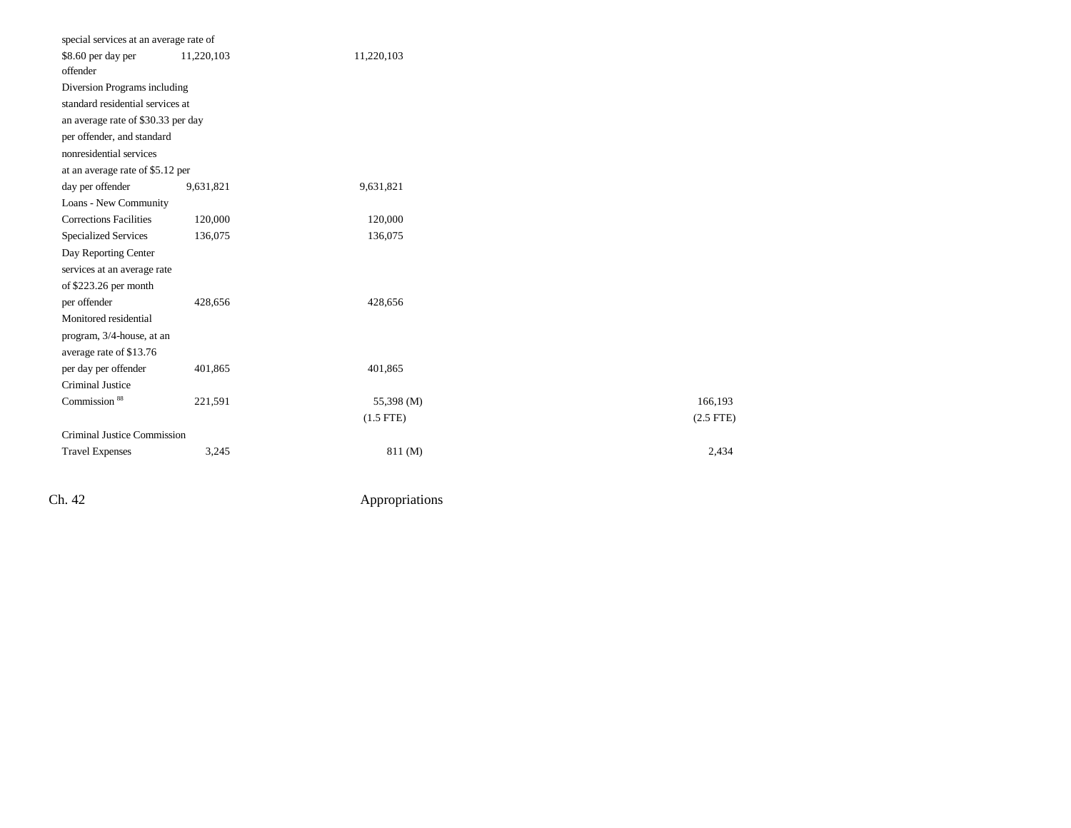| special services at an average rate of |            |             |             |
|----------------------------------------|------------|-------------|-------------|
| \$8.60 per day per<br>offender         | 11,220,103 | 11,220,103  |             |
| Diversion Programs including           |            |             |             |
| standard residential services at       |            |             |             |
| an average rate of \$30.33 per day     |            |             |             |
| per offender, and standard             |            |             |             |
| nonresidential services                |            |             |             |
| at an average rate of \$5.12 per       |            |             |             |
| day per offender                       | 9,631,821  | 9,631,821   |             |
| Loans - New Community                  |            |             |             |
| <b>Corrections Facilities</b>          | 120,000    | 120,000     |             |
| <b>Specialized Services</b>            | 136,075    | 136,075     |             |
| Day Reporting Center                   |            |             |             |
| services at an average rate            |            |             |             |
| of \$223.26 per month                  |            |             |             |
| per offender                           | 428,656    | 428,656     |             |
| Monitored residential                  |            |             |             |
| program, 3/4-house, at an              |            |             |             |
| average rate of \$13.76                |            |             |             |
| per day per offender                   | 401,865    | 401,865     |             |
| <b>Criminal Justice</b>                |            |             |             |
| Commission <sup>88</sup>               | 221,591    | 55,398 (M)  | 166,193     |
|                                        |            | $(1.5$ FTE) | $(2.5$ FTE) |
| Criminal Justice Commission            |            |             |             |
| <b>Travel Expenses</b>                 | 3,245      | 811(M)      | 2,434       |
|                                        |            |             |             |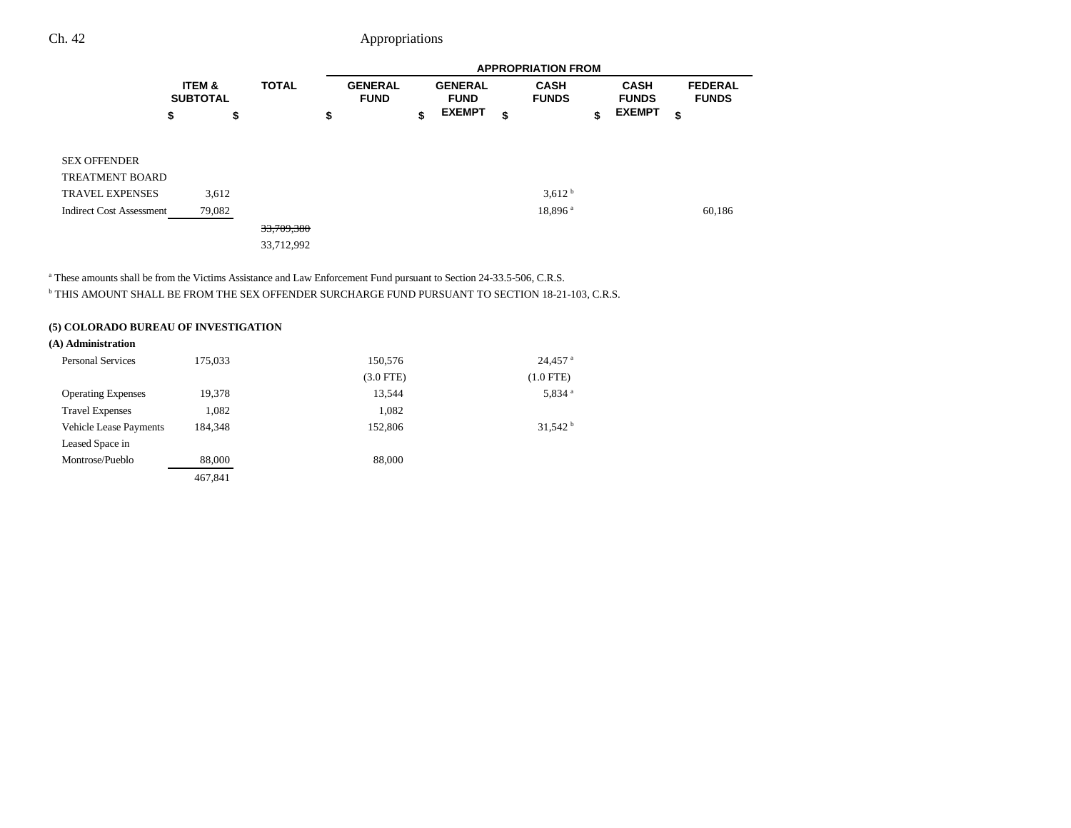|                                 |                                      |        |              | <b>APPROPRIATION FROM</b> |                               |    |                               |    |                             |    |                             |    |                                |  |
|---------------------------------|--------------------------------------|--------|--------------|---------------------------|-------------------------------|----|-------------------------------|----|-----------------------------|----|-----------------------------|----|--------------------------------|--|
|                                 | <b>ITEM &amp;</b><br><b>SUBTOTAL</b> |        | <b>TOTAL</b> |                           | <b>GENERAL</b><br><b>FUND</b> |    | <b>GENERAL</b><br><b>FUND</b> |    | <b>CASH</b><br><b>FUNDS</b> |    | <b>CASH</b><br><b>FUNDS</b> |    | <b>FEDERAL</b><br><b>FUNDS</b> |  |
|                                 | \$                                   | \$     |              | \$                        |                               | \$ | <b>EXEMPT</b>                 | \$ |                             | \$ | <b>EXEMPT</b>               | \$ |                                |  |
| SEX OFFENDER<br>TREATMENT BOARD |                                      |        |              |                           |                               |    |                               |    |                             |    |                             |    |                                |  |
| TRAVEL EXPENSES                 |                                      | 3,612  |              |                           |                               |    |                               |    | 3.612 <sup>b</sup>          |    |                             |    |                                |  |
| <b>Indirect Cost Assessment</b> |                                      | 79,082 |              |                           |                               |    |                               |    | 18,896 <sup>a</sup>         |    |                             |    | 60,186                         |  |
|                                 |                                      |        | 33,709,380   |                           |                               |    |                               |    |                             |    |                             |    |                                |  |
|                                 |                                      |        | 33,712,992   |                           |                               |    |                               |    |                             |    |                             |    |                                |  |

<sup>a</sup> These amounts shall be from the Victims Assistance and Law Enforcement Fund pursuant to Section 24-33.5-506, C.R.S.

b THIS AMOUNT SHALL BE FROM THE SEX OFFENDER SURCHARGE FUND PURSUANT TO SECTION 18-21-103, C.R.S.

#### **(5) COLORADO BUREAU OF INVESTIGATION**

#### **(A) Administration**

| <b>Personal Services</b>      | 175,033 | 150,576     | $24,457$ <sup>a</sup> |
|-------------------------------|---------|-------------|-----------------------|
|                               |         | $(3.0$ FTE) | $(1.0$ FTE $)$        |
| <b>Operating Expenses</b>     | 19,378  | 13,544      | 5,834 <sup>a</sup>    |
| <b>Travel Expenses</b>        | 1,082   | 1,082       |                       |
| <b>Vehicle Lease Payments</b> | 184.348 | 152,806     | 31,542 h              |
| Leased Space in               |         |             |                       |
| Montrose/Pueblo               | 88,000  | 88,000      |                       |
|                               | 467,841 |             |                       |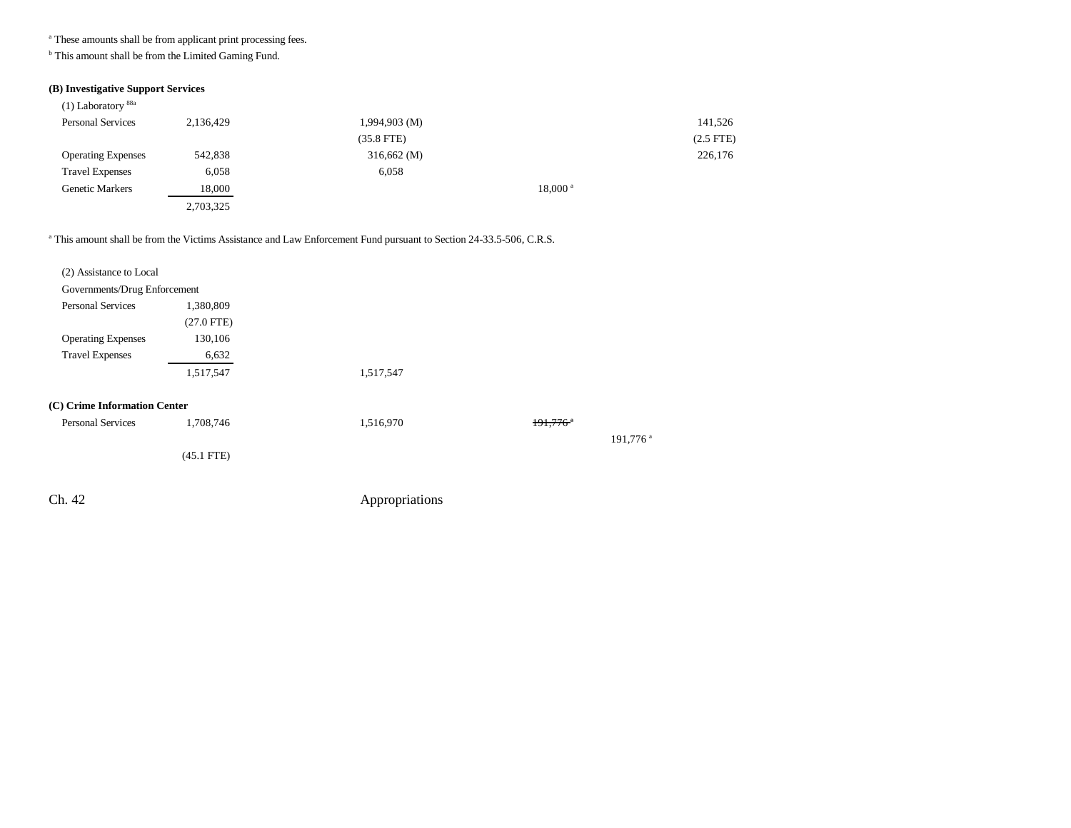a These amounts shall be from applicant print processing fees.

<sup>b</sup> This amount shall be from the Limited Gaming Fund.

### **(B) Investigative Support Services**

| $(1)$ Laboratory $88a$    |           |                      |             |
|---------------------------|-----------|----------------------|-------------|
| <b>Personal Services</b>  | 2,136,429 | $1,994,903 \ (M)$    | 141,526     |
|                           |           | $(35.8$ FTE)         | $(2.5$ FTE) |
| <b>Operating Expenses</b> | 542,838   | $316,662 \,(M)$      | 226,176     |
| <b>Travel Expenses</b>    | 6,058     | 6,058                |             |
| <b>Genetic Markers</b>    | 18,000    | $18,000^{\text{ a}}$ |             |
|                           | 2,703,325 |                      |             |

#### <sup>a</sup> This amount shall be from the Victims Assistance and Law Enforcement Fund pursuant to Section 24-33.5-506, C.R.S.

| (2) Assistance to Local      |              |                |                        |                      |
|------------------------------|--------------|----------------|------------------------|----------------------|
| Governments/Drug Enforcement |              |                |                        |                      |
| <b>Personal Services</b>     | 1,380,809    |                |                        |                      |
|                              | $(27.0$ FTE) |                |                        |                      |
| <b>Operating Expenses</b>    | 130,106      |                |                        |                      |
| <b>Travel Expenses</b>       | 6,632        |                |                        |                      |
|                              | 1,517,547    | 1,517,547      |                        |                      |
| (C) Crime Information Center |              |                |                        |                      |
| <b>Personal Services</b>     | 1,708,746    | 1,516,970      | $191,776$ <sup>a</sup> |                      |
|                              |              |                |                        | 191,776 <sup>a</sup> |
|                              | $(45.1$ FTE) |                |                        |                      |
|                              |              |                |                        |                      |
| Ch. 42                       |              | Appropriations |                        |                      |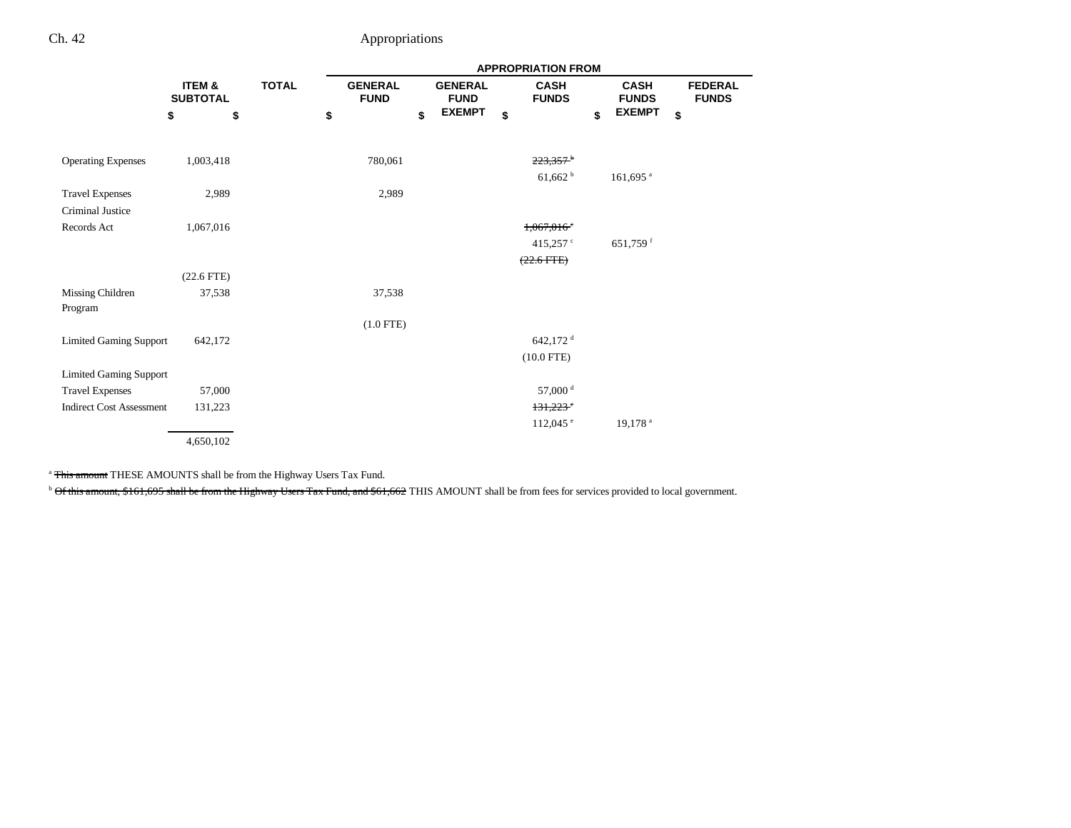|                                 |                           |              | <b>APPROPRIATION FROM</b> |                               |    |                               |    |                             |    |                             |    |                                |  |
|---------------------------------|---------------------------|--------------|---------------------------|-------------------------------|----|-------------------------------|----|-----------------------------|----|-----------------------------|----|--------------------------------|--|
|                                 | ITEM &<br><b>SUBTOTAL</b> | <b>TOTAL</b> |                           | <b>GENERAL</b><br><b>FUND</b> |    | <b>GENERAL</b><br><b>FUND</b> |    | <b>CASH</b><br><b>FUNDS</b> |    | <b>CASH</b><br><b>FUNDS</b> |    | <b>FEDERAL</b><br><b>FUNDS</b> |  |
| \$                              |                           | \$           | \$                        |                               | \$ | <b>EXEMPT</b>                 | \$ |                             | \$ | <b>EXEMPT</b>               | \$ |                                |  |
|                                 |                           |              |                           |                               |    |                               |    |                             |    |                             |    |                                |  |
| <b>Operating Expenses</b>       | 1,003,418                 |              |                           | 780,061                       |    |                               |    | $223,357$ <sup>b</sup>      |    |                             |    |                                |  |
|                                 |                           |              |                           |                               |    |                               |    | $61,662$ <sup>b</sup>       |    | $161,695$ <sup>a</sup>      |    |                                |  |
| <b>Travel Expenses</b>          | 2,989                     |              |                           | 2,989                         |    |                               |    |                             |    |                             |    |                                |  |
| <b>Criminal Justice</b>         |                           |              |                           |                               |    |                               |    |                             |    |                             |    |                                |  |
| Records Act                     | 1,067,016                 |              |                           |                               |    |                               |    | $1,067,016$ <sup>c</sup>    |    |                             |    |                                |  |
|                                 |                           |              |                           |                               |    |                               |    | 415,257 $\degree$           |    | 651,759 <sup>f</sup>        |    |                                |  |
|                                 |                           |              |                           |                               |    |                               |    | $(22.6$ FTE $)$             |    |                             |    |                                |  |
|                                 | $(22.6$ FTE $)$           |              |                           |                               |    |                               |    |                             |    |                             |    |                                |  |
| Missing Children<br>Program     | 37,538                    |              |                           | 37,538                        |    |                               |    |                             |    |                             |    |                                |  |
|                                 |                           |              |                           | $(1.0$ FTE)                   |    |                               |    |                             |    |                             |    |                                |  |
| <b>Limited Gaming Support</b>   | 642,172                   |              |                           |                               |    |                               |    | 642,172 <sup>d</sup>        |    |                             |    |                                |  |
|                                 |                           |              |                           |                               |    |                               |    | $(10.0$ FTE)                |    |                             |    |                                |  |
| <b>Limited Gaming Support</b>   |                           |              |                           |                               |    |                               |    |                             |    |                             |    |                                |  |
| <b>Travel Expenses</b>          | 57,000                    |              |                           |                               |    |                               |    | 57,000 <sup>d</sup>         |    |                             |    |                                |  |
| <b>Indirect Cost Assessment</b> | 131,223                   |              |                           |                               |    |                               |    | $131,223$ <sup>e</sup>      |    |                             |    |                                |  |
|                                 |                           |              |                           |                               |    |                               |    | $112,045$ $\degree$         |    | 19,178 <sup>a</sup>         |    |                                |  |
|                                 | 4,650,102                 |              |                           |                               |    |                               |    |                             |    |                             |    |                                |  |

<sup>a</sup> This amount THESE AMOUNTS shall be from the Highway Users Tax Fund.

<sup>b</sup> Of this amount, \$161,695 shall be from the Highway Users Tax Fund, and \$61,662 THIS AMOUNT shall be from fees for services provided to local government.